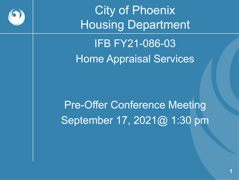

City of Phoenix **Housing Department** IFB FY21-086-03 Home Appraisal Services

Pre-Offer Conference Meeting September 17, 2021@ 1:30 pm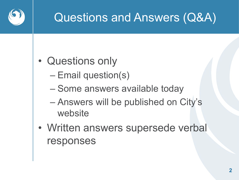

# Questions and Answers (Q&A)

- Questions only
	- Email question(s)
	- Some answers available today
	- Answers will be published on City's website
- Written answers supersede verbal responses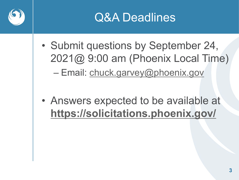



- Submit questions by September 24, 2021@ 9:00 am (Phoenix Local Time) – Email: [chuck.garvey@phoenix.gov](mailto:chuck.garvey@phoenix.gov)
- Answers expected to be available at **<https://solicitations.phoenix.gov/>**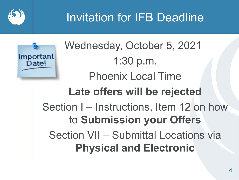

# Invitation for IFB Deadline



Wednesday, October 5, 2021 1:30 p.m. Phoenix Local Time **Late offers will be rejected** Section I – Instructions, Item 12 on how to **Submission your Offers** Section VII – Submittal Locations via **Physical and Electronic**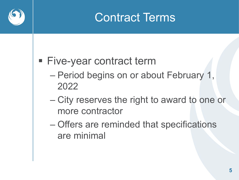## Contract Terms

#### **Five-year contract term**

- Period begins on or about February 1, 2022
- City reserves the right to award to one or more contractor
- Offers are reminded that specifications are minimal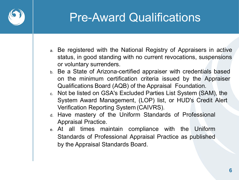

## Pre-Award Qualifications

- a. Be registered with the National Registry of Appraisers in active status, in good standing with no current revocations, suspensions or voluntary surrenders.
- b. Be a State of Arizona-certified appraiser with credentials based on the minimum certification criteria issued by the Appraiser Qualifications Board (AQB) of the Appraisal Foundation.
- c. Not be listed on GSA's Excluded Parties List System (SAM), the System Award Management, (LOP) list, or HUD's Credit Alert Verification Reporting System (CAIVRS).
- d. Have mastery of the Uniform Standards of Professional Appraisal Practice.
- e. At all times maintain compliance with the Uniform Standards of Professional Appraisal Practice as published by the Appraisal Standards Board.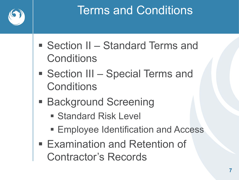

# Terms and Conditions

- Section II Standard Terms and **Conditions**
- Section III Special Terms and **Conditions**
- Background Screening
	- **Standard Risk Level**
	- **Employee Identification and Access**
- Examination and Retention of Contractor's Records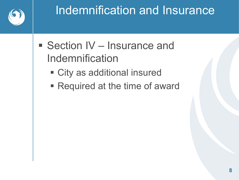

# Indemnification and Insurance

- Section IV Insurance and Indemnification
	- City as additional insured
	- Required at the time of award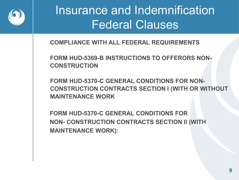

# Insurance and Indemnification Federal Clauses

**COMPLIANCE WITH ALL FEDERAL REQUIREMENTS**

**FORM HUD-5369-B INSTRUCTIONS TO OFFERORS NON-CONSTRUCTION**

**FORM HUD-5370-C GENERAL CONDITIONS FOR NON-CONSTRUCTION CONTRACTS SECTION I (WITH OR WITHOUT MAINTENANCE WORK**

**FORM HUD-5370-C GENERAL CONDITIONS FOR NON- CONSTRUCTION CONTRACTS SECTION II (WITH MAINTENANCE WORK):**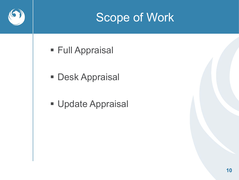### Scope of Work

- **Full Appraisal**
- **Desk Appraisal**
- **Update Appraisal**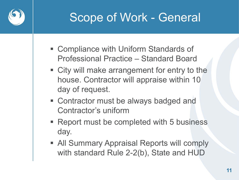

## Scope of Work - General

- Compliance with Uniform Standards of Professional Practice – Standard Board
- City will make arrangement for entry to the house. Contractor will appraise within 10 day of request.
- Contractor must be always badged and Contractor's uniform
- Report must be completed with 5 business day.
- **All Summary Appraisal Reports will comply** with standard Rule 2-2(b), State and HUD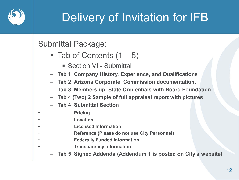

# Delivery of Invitation for IFB

#### Submittal Package:

- $\blacksquare$  Tab of Contents (1 5)
	- Section VI Submittal
- **Tab 1 Company History, Experience, and Qualifications**
- **Tab 2 Arizona Corporate Commission documentation.**
- **Tab 3 Membership, State Credentials with Board Foundation**
- **Tab 4 (Two) 2 Sample of full appraisal report with pictures**
- **Tab 4 Submittal Section**
- **Pricing**
- **Location**
- **Licensed Information**
- **Reference (Please do not use City Personnel)**
- **Federally Funded Information**
	- **Transparency Information**
	- **Tab 5 Signed Addenda (Addendum 1 is posted on City's website)**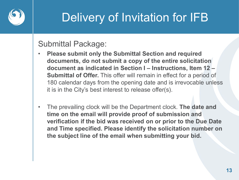

# Delivery of Invitation for IFB

#### Submittal Package:

- **Please submit only the Submittal Section and required documents, do not submit a copy of the entire solicitation document as indicated in Section I – Instructions, Item 12 – Submittal of Offer.** This offer will remain in effect for a period of 180 calendar days from the opening date and is irrevocable unless it is in the City's best interest to release offer(s).
- The prevailing clock will be the Department clock. **The date and time on the email will provide proof of submission and verification if the bid was received on or prior to the Due Date and Time specified. Please identify the solicitation number on the subject line of the email when submitting your bid.**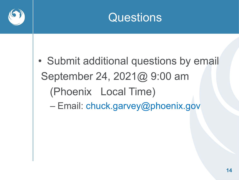



• Submit additional questions by email September 24, 2021@ 9:00 am (Phoenix Local Time) – Email: chuck.garvey@phoenix.gov